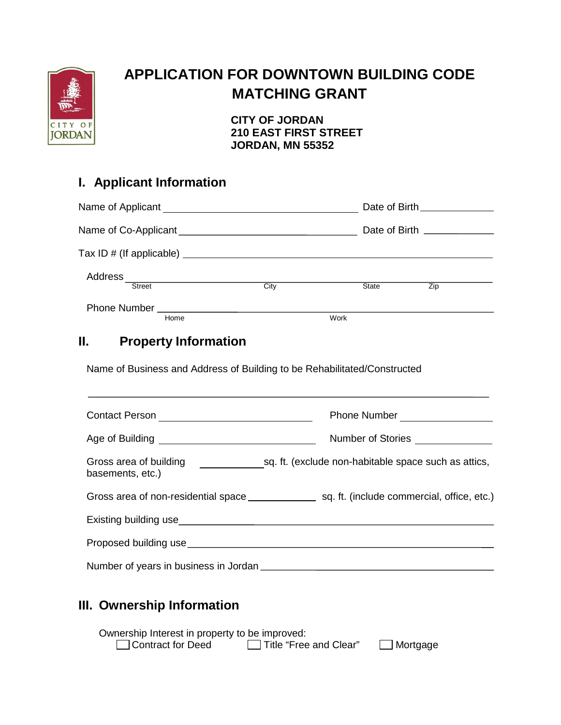

# **APPLICATION FOR DOWNTOWN BUILDING CODE MATCHING GRANT**

**CITY OF JORDAN 210 EAST FIRST STREET JORDAN, MN 55352**

### **I. Applicant Information**

| Name of Co-Applicant ___________________________________ |                                        |      |      |       |     |  |
|----------------------------------------------------------|----------------------------------------|------|------|-------|-----|--|
|                                                          |                                        |      |      |       |     |  |
| Address                                                  |                                        |      |      |       |     |  |
|                                                          | <b>Street</b>                          | City |      | State | Zip |  |
|                                                          | Phone Number _________________<br>Home |      | Work |       |     |  |
|                                                          |                                        |      |      |       |     |  |

### **II. Property Information**

Name of Business and Address of Building to be Rehabilitated/Constructed

|                                            | Phone Number ________________                        |  |  |
|--------------------------------------------|------------------------------------------------------|--|--|
|                                            | Number of Stories _______________                    |  |  |
| Gross area of building<br>basements, etc.) | sq. ft. (exclude non-habitable space such as attics, |  |  |
|                                            |                                                      |  |  |
|                                            |                                                      |  |  |
|                                            |                                                      |  |  |
| Number of years in business in Jordan      |                                                      |  |  |

### **III. Ownership Information**

Ownership Interest in property to be improved: □ Contract for Deed □ Title "Free and Clear" □ Mortgage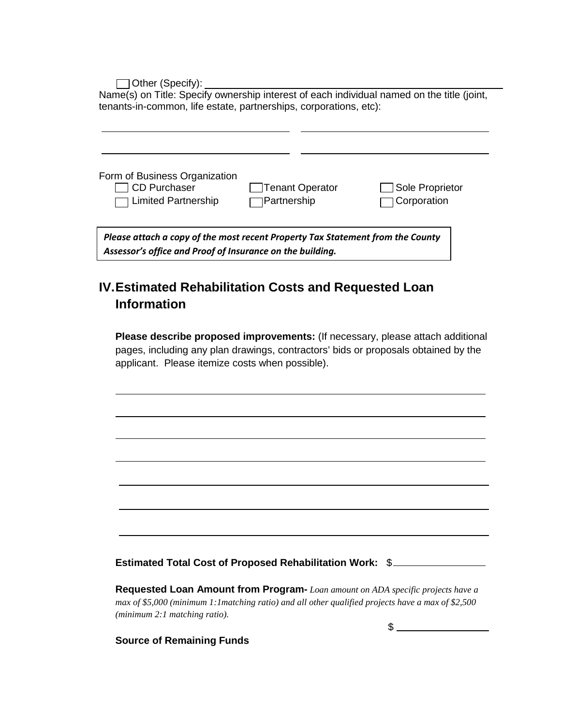Other (Specify):

Name(s) on Title: Specify ownership interest of each individual named on the title (joint, tenants-in-common, life estate, partnerships, corporations, etc):

| Form of Business Organization<br>CD Purchaser<br>T Limited Partnership                                                                      | Tenant Operator<br>]Partnership | Sole Proprietor<br>Corporation |  |  |  |  |  |
|---------------------------------------------------------------------------------------------------------------------------------------------|---------------------------------|--------------------------------|--|--|--|--|--|
| Please attach a copy of the most recent Property Tax Statement from the County<br>Assessor's office and Proof of Insurance on the building. |                                 |                                |  |  |  |  |  |

### **IV.Estimated Rehabilitation Costs and Requested Loan Information**

**Please describe proposed improvements:** (If necessary, please attach additional pages, including any plan drawings, contractors' bids or proposals obtained by the applicant. Please itemize costs when possible).

**Estimated Total Cost of Proposed Rehabilitation Work:** \$

**Requested Loan Amount from Program-** *Loan amount on ADA specific projects have a max of \$5,000 (minimum 1:1matching ratio) and all other qualified projects have a max of \$2,500 (minimum 2:1 matching ratio).*

\$

**Source of Remaining Funds**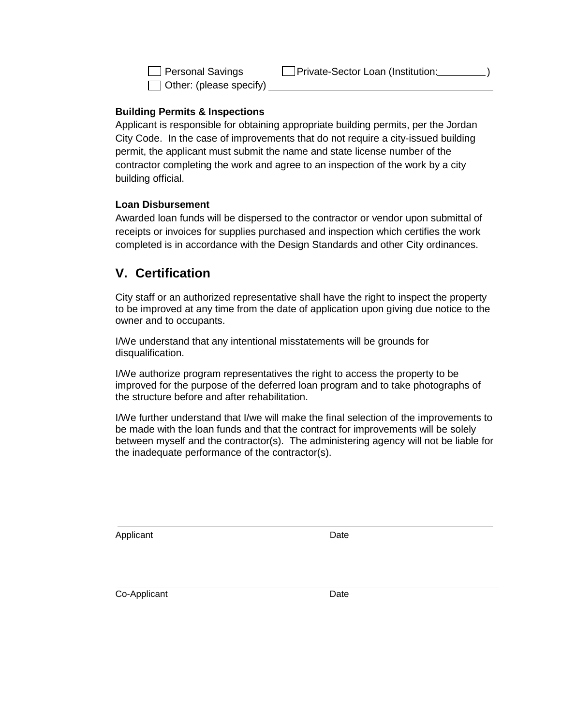$\Box$  Other: (please specify)

### **Building Permits & Inspections**

Applicant is responsible for obtaining appropriate building permits, per the Jordan City Code. In the case of improvements that do not require a city-issued building permit, the applicant must submit the name and state license number of the contractor completing the work and agree to an inspection of the work by a city building official.

#### **Loan Disbursement**

Awarded loan funds will be dispersed to the contractor or vendor upon submittal of receipts or invoices for supplies purchased and inspection which certifies the work completed is in accordance with the Design Standards and other City ordinances.

### **V. Certification**

City staff or an authorized representative shall have the right to inspect the property to be improved at any time from the date of application upon giving due notice to the owner and to occupants.

I/We understand that any intentional misstatements will be grounds for disqualification.

I/We authorize program representatives the right to access the property to be improved for the purpose of the deferred loan program and to take photographs of the structure before and after rehabilitation.

I/We further understand that I/we will make the final selection of the improvements to be made with the loan funds and that the contract for improvements will be solely between myself and the contractor(s). The administering agency will not be liable for the inadequate performance of the contractor(s).

Applicant Date **Date** 

Co-Applicant Date